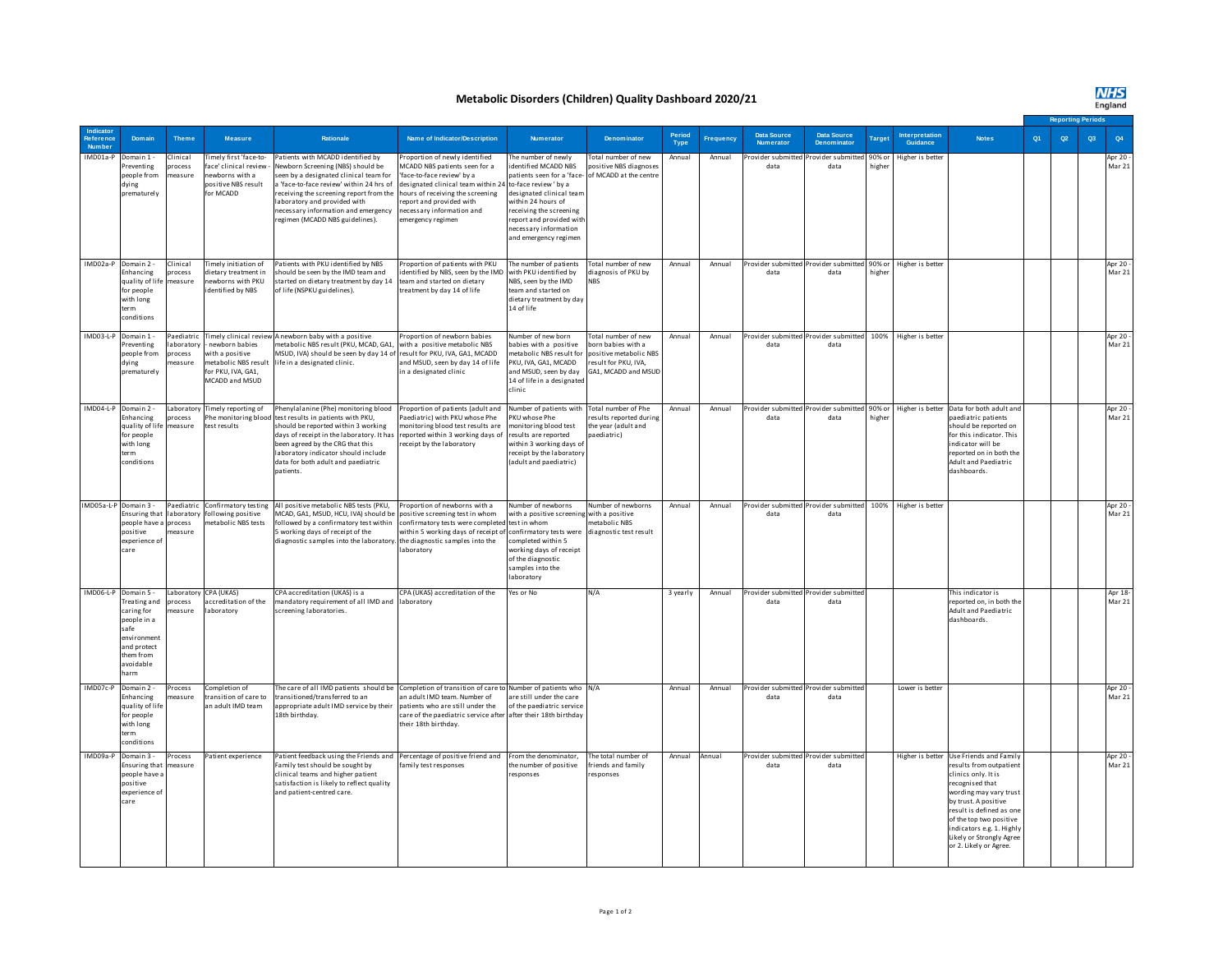## **Metabolic Disorders (Children) Quality Dashboard 2020/21**

## **NHS**<br>England

|                            |                                                                                                                                           |                                 |                                                                                                       |                                                                                                                                                                                                                                                                                                                   |                                                                                                                                                                                                                                                       |                                                                                                                                                                                                                                                              |                                                                                                                           |                |                  |                                                                       |                                               |        |                            |                                                                                                                                                                                                                                                                                                          |    |    | <b>Reporting Periods</b> |                    |  |
|----------------------------|-------------------------------------------------------------------------------------------------------------------------------------------|---------------------------------|-------------------------------------------------------------------------------------------------------|-------------------------------------------------------------------------------------------------------------------------------------------------------------------------------------------------------------------------------------------------------------------------------------------------------------------|-------------------------------------------------------------------------------------------------------------------------------------------------------------------------------------------------------------------------------------------------------|--------------------------------------------------------------------------------------------------------------------------------------------------------------------------------------------------------------------------------------------------------------|---------------------------------------------------------------------------------------------------------------------------|----------------|------------------|-----------------------------------------------------------------------|-----------------------------------------------|--------|----------------------------|----------------------------------------------------------------------------------------------------------------------------------------------------------------------------------------------------------------------------------------------------------------------------------------------------------|----|----|--------------------------|--------------------|--|
| Reference<br><b>Number</b> | Domain                                                                                                                                    | <b>Theme</b>                    | Measure                                                                                               | Rationale                                                                                                                                                                                                                                                                                                         | Name of Indicator/Description                                                                                                                                                                                                                         | Numerator                                                                                                                                                                                                                                                    | <b>Denominator</b>                                                                                                        | Period<br>Type | <b>Frequency</b> | <b>Data Source</b><br>Numerator                                       | Data Source<br><b>Denominator</b>             | Targe  | Interpretation<br>Guidance | <b>Notes</b>                                                                                                                                                                                                                                                                                             | Q1 | Q2 | Q3                       | Q4                 |  |
| IMD01a-P                   | Domain 1 -<br>reventing<br>people from<br>dying<br>prematurely                                                                            | Clinical<br>process<br>measure  | Timely first 'face-to-<br>face' clinical review<br>ewborns with a<br>positive NBS result<br>for MCADD | Patients with MCADD identified by<br>Newborn Screening (NBS) should be<br>seen by a designated clinical team for<br>a 'face-to-face review' within 24 hrs of<br>eceiving the screening report from the<br>aboratory and provided with<br>necessary information and emergency<br>regimen (MCADD NBS guidelines).   | Proportion of newly identified<br>MCADD NBS patients seen for a<br>'face-to-face review' by a<br>designated clinical team within 24<br>hours of receiving the screening<br>report and provided with<br>necessary information and<br>emergency regimen | The number of newlv<br>identified MCADD NBS<br>patients seen for a 'face-<br>to-face review ' by a<br>designated clinical team<br>within 24 hours of<br>receiving the screening<br>report and provided with<br>ecessary information<br>and emergency regimen | Total number of new<br>positive NBS diagnoses<br>of MCADD at the centre                                                   | Annual         | Annual           | Provider submitted<br>data                                            | Provider submitted 90% or<br>data             | higher | Higher is better           |                                                                                                                                                                                                                                                                                                          |    |    |                          | Apr 20 -<br>Mar 21 |  |
|                            | IMD02a-P Domain 2 -<br>Enhancing<br>quality of life measure<br>for people<br>with long<br>term<br>conditions                              | Clinical<br>process             | imely initiation of<br>dietary treatment in<br>ewborns with PKU<br>dentified by NBS                   | Patients with PKU identified by NBS<br>should be seen by the IMD team and<br>started on dietary treatment by day 14<br>of life (NSPKU guidelines).                                                                                                                                                                | Proportion of patients with PKU<br>identified by NBS, seen by the IMD<br>team and started on dietary<br>treatment by day 14 of life                                                                                                                   | The number of patients<br>with PKU identified by<br>NBS, seen by the IMD<br>team and started on<br>dietary treatment by day<br>14 of life                                                                                                                    | Total number of new<br>diagnosis of PKU by                                                                                | Annual         | Annual           | Provider submitted Provider submitted 90% or Higher is better<br>data | data                                          | ighe   |                            |                                                                                                                                                                                                                                                                                                          |    |    |                          | Apr 20 -<br>Mar 21 |  |
|                            | IMD03-L-P Domain 1 -<br>Preventing<br>people from<br>dying<br>prematurely                                                                 | aboratory<br>process<br>neasure | newborn babies<br>vith a positive<br>metabolic NBS result<br>for PKU, IVA, GA1,<br>MCADD and MSUD     | Paediatric Timely clinical review A newborn baby with a positive<br>metabolic NBS result (PKU, MCAD, GA1,<br>MSUD, IVA) should be seen by day 14 of<br>life in a designated clinic.                                                                                                                               | Proportion of newborn babies<br>with a positive metabolic NBS<br>result for PKU, IVA, GA1, MCADD<br>and MSUD, seen by day 14 of life<br>in a designated clinic                                                                                        | Number of new born<br>babies with a positive<br>metabolic NBS result for<br>PKU, IVA, GA1, MCADD<br>and MSUD, seen by day<br>14 of life in a designated<br>clinic                                                                                            | <b>Cotal number of new</b><br>born babies with a<br>positive metabolic NBS<br>result for PKU, IVA,<br>GA1, MCADD and MSUD | Annual         | Annual           | data                                                                  | Provider submitted Provider submitted<br>data |        | 100% Higher is better      |                                                                                                                                                                                                                                                                                                          |    |    |                          | Apr 20 -<br>Mar 21 |  |
| IMD04-L-P Domain 2 -       | Enhancing<br>quality of life measure<br>for people<br>with long<br>term<br>conditions                                                     | process                         | Laboratory Timely reporting of<br>test results                                                        | Phenylalanine (Phe) monitoring blood<br>the monitoring blood test results in patients with PKU,<br>should be reported within 3 working<br>days of receipt in the laboratory. It has<br>been agreed by the CRG that this<br>laboratory indicator should include<br>data for both adult and paediatric<br>patients. | Proportion of patients (adult and<br>Paediatric) with PKU whose Phe<br>monitoring blood test results are<br>reported within 3 working days of<br>eceipt by the laboratory                                                                             | Number of patients with Total number of Phe<br>PKU whose Phe<br>monitoring blood test<br>results are reported<br>within 3 working days of<br>receipt by the laboratory<br>(adult and paediatric)                                                             | esults reported during<br>the year (adult and<br>paediatric)                                                              | Annual         | Annual           | data                                                                  | data                                          | higher |                            | Provider submitted Provider submitted 90% or Higher is better Data for both adult and<br>paediatric patients<br>should be reported on<br>for this indicator. This<br>indicator will be<br>reported on in both the<br>Adult and Paediatric<br>dashboards.                                                 |    |    |                          | Apr 20 -<br>Mar 21 |  |
| IMD05a-L-P Domain 3 -      | Ensuring that<br>people have a process<br>positive<br>experience of<br>care                                                               | laboratory<br>measure           | following positive<br>netabolic NBS tests                                                             | Paediatric Confirmatory testing All positive metabolic NBS tests (PKU,<br>MCAD, GA1, MSUD, HCU, IVA) should be<br>followed by a confirmatory test within<br>5 working days of receipt of the<br>diagnostic samples into the laboratory.                                                                           | Proportion of newborns with a<br>positive screening test in whom<br>confirmatory tests were completed test in whom<br>within 5 working days of receipt of<br>the diagnostic samples into the<br>laboratory                                            | Number of newborns<br>with a positive screening with a positive<br>confirmatory tests were<br>completed within 5<br>working days of receipt<br>of the diagnostic<br>samples into the<br>laboratory                                                           | Number of newborns<br>netabolic NBS<br>diagnostic test result                                                             | Annual         | Annual           | Provider submitted Provider submitted 100% Higher is better<br>data   | data                                          |        |                            |                                                                                                                                                                                                                                                                                                          |    |    |                          | Apr 20 -<br>Mar 21 |  |
|                            | IMD06-L-P Domain 5 -<br>Treating and<br>caring for<br>people in a<br>safe<br>environment<br>and protect<br>them from<br>avoidable<br>harm | process<br>neasure              | Laboratory CPA (UKAS)<br>accreditation of the<br>aboratory                                            | CPA accreditation (UKAS) is a<br>mandatory requirement of all IMD and<br>screening laboratories.                                                                                                                                                                                                                  | CPA (UKAS) accreditation of the<br>laboratory                                                                                                                                                                                                         | Yes or No                                                                                                                                                                                                                                                    | N/A                                                                                                                       | 3 yearly       | Annual           | data                                                                  | Provider submitted Provider submitted<br>data |        |                            | This indicator is<br>reported on, in both the<br>Adult and Paediatric<br>dashboards.                                                                                                                                                                                                                     |    |    |                          | Apr 18-<br>Mar 21  |  |
| IMD07c-P                   | Domain 2 -<br>Enhancing<br>quality of life<br>for people<br>with long<br>term<br>conditions                                               | Process<br>neasure              | Completion of<br>ransition of care to<br>an adult IMD team                                            | The care of all IMD patients should be<br>ransitioned/transferred to an<br>appropriate adult IMD service by their<br>18th birthday.                                                                                                                                                                               | Completion of transition of care to Number of patients who N/A<br>an adult IMD team. Number of<br>patients who are still under the<br>care of the paediatric service after<br>their 18th birthday.                                                    | are still under the care<br>of the paediatric service<br>after their 18th birthday                                                                                                                                                                           |                                                                                                                           | Annual         | Annual           | data                                                                  | Provider submitted Provider submitted<br>data |        | Lower is better            |                                                                                                                                                                                                                                                                                                          |    |    |                          | Apr 20 -<br>Mar 21 |  |
| IMD09a-P                   | Domain 3 -<br>Ensuring that<br>people have a<br>nositive<br>experience o<br>care                                                          | Process<br>measure              | Patient experience                                                                                    | Patient feedback using the Friends and Percentage of positive friend and<br>Family test should be sought by<br>clinical teams and higher patient<br>satisfaction is likely to reflect quality<br>and patient-centred care.                                                                                        | family test responses                                                                                                                                                                                                                                 | From the denominator.<br>the number of positive<br>responses                                                                                                                                                                                                 | The total number of<br>riends and family<br>esponses                                                                      | Annual         | Annual           | Provider submitted Provider submitted<br>data                         | data                                          |        |                            | Higher is better Use Friends and Family<br>results from outpatient<br>clinics only. It is<br>recognised that<br>wording may vary trust<br>by trust. A positive<br>result is defined as one<br>of the top two positive<br>indicators e.g. 1. Highly<br>Likely or Strongly Agree<br>or 2. Likely or Agree. |    |    |                          | Apr 20 -<br>Mar 21 |  |